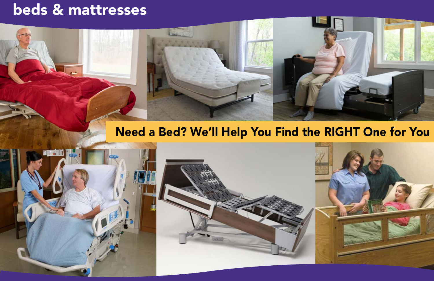





# beds & mattresses

## Need a Bed? We'll Help You Find the RIGHT One for You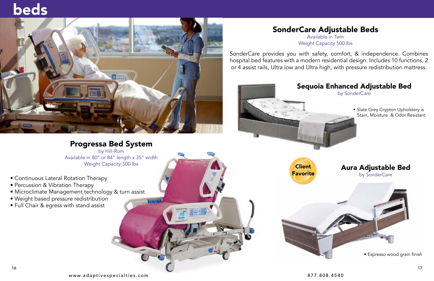- Continuous Lateral Rotation Therapy
- Percussion & Vibration Therapy
- [Microclimate Management technology & turn assist](https://www.youtube.com/watch?v=wWggiWk4YNo)
- Weight based pressure redistribution
- Full Chair & egress with stand assist

#### [Progressa Bed System](https://www.youtube.com/watch?v=wWggiWk4YNo)

by Hill-Rom Available in 80" o[r 84" length x 35" width](https://www.youtube.com/watch?v=wWggiWk4YNo) Weight Capacity 500 lbs

# [beds](https://www.youtube.com/watch?v=wWggiWk4YNo)



[SonderCare Adjustable Beds](https://www.adaptivespecialties.com/sondercare.aspx) Available in Twin Weight Capacity 500 lbs

[SonderCare provides you with safety, comfort, & independence. Combines](https://www.adaptivespecialties.com/sondercare.aspx)  hospital bed features with a modern residential design. Includes 10 functions, 2 or 4 assist rails, Ultra low and Ultra high, with pressure redistribution mattress.



**Client Favorite** 

#### [Sequoia Enhanced Adjustable Bed](https://www.adaptivespecialties.com/sondercare.aspx)  by SonderCare

• Slate Grey Crypton Upholstery is Stain, Moisture & Odor Resistant

#### [Aura Adjustable Bed](https://www.adaptivespecialties.com/sondercare.aspx) by SonderCare

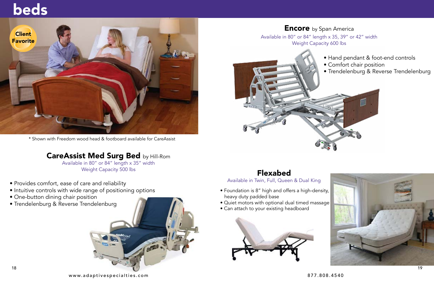

**Encore** by Span America

# beds

- Provides comfort, ease of care and reliability
- [Intuitive controls with wide range of positioning options](https://www.adaptivespecialties.com/careassist-es-medical-surgical-bed-2-1-1.aspx)
- One-button dining chair position
- Trendelenburg & Reverse T[rendelenburg](https://www.adaptivespecialties.com/careassist-es-medical-surgical-bed-2-1-1.aspx)

Available in 80" or 84" length x 35" width Weight Capacity 500 lbs

\* Shown with Freedom wood head & footboard available for CareAssist

#### [CareAssist Med Surg Bed](https://www.adaptivespecialties.com/careassist-es-medical-surgical-bed-2-1-1.aspx) by Hill-Rom





- [Hand pendant & foot-e](https://www.adaptivespecialties.com/span-america-encore-bed-with-glidealign-retractability.aspx)nd controls
- 
- Trendelenburg & Reverse Trendelenburg



[Available in 80" or 84" length x 35, 39" or 42" width](https://www.adaptivespecialties.com/span-america-encore-bed-with-glidealign-retractability.aspx) Weight Capacity 600 lbs

#### Flexabed

[Available in Twin, Full, Queen & Dual King](https://www.adaptivespecialties.com/flex-a-bed.aspx)

- [Foundation is 8" high and offers a high-density,](https://www.adaptivespecialties.com/flex-a-bed.aspx)  heavy duty padded base
- Quiet motors with optional dual timed massage
- Can attach to your existing headboard

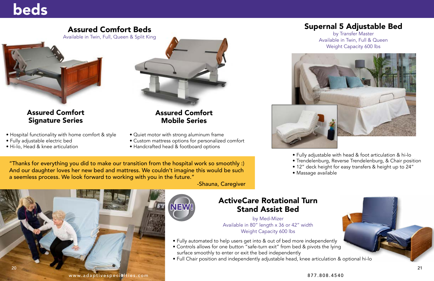- [Hospital functionality with home comfort & style](https://www.adaptivespecialties.com/assured-comfort-beds.aspx)
- Fully adjustable electric bed
- Hi-lo, Head & knee articulation



[Assured Comfort](https://www.adaptivespecialties.com/assured-comfort-beds.aspx)  Signature Series

#### [Assured Comfort](https://www.adaptivespecialties.com/assured-comfort-beds.aspx)  Mobile Series

- Quiet motor with strong aluminum frame
- [Custom mattress options for personalized comfort](https://www.adaptivespecialties.com/assured-comfort-beds.aspx)
- Handcrafted head & footboard options



#### [Assured Comfort Beds](https://www.adaptivespecialties.com/assured-comfort-beds.aspx)

Available in Twin, Full, Queen & Split King



"Thanks for everything you did to make our transition from the hospital work so smoothly :) And our daughter loves her new bed and mattress. We couldn't imagine this would be such a seemless process. We look forward to working with you in the future."

-Shauna, Caregiver

# beds

#### [Supernal 5 Adjustable Bed](https://www.adaptivespecialties.com/supernal-5-by-transfermaster.aspx)

by Transfer Master





• Fully adjustable with head & foot articulation & hi-lo [• Trendelenburg, Reverse Trendelenburg, & Chair position](https://www.adaptivespecialties.com/supernal-5-by-transfermaster.aspx) • 12" deck height for easy transfers & height up to 24"



- 
- 
- Massage available

#### [ActiveCare Rotational Turn](https://www.adaptivespecialties.com/search.aspx?find=ActiveCare+Rotational) Stand Assist Bed

by Med-Mizer Available in 80" length x 36 or 42" width Weight Capacity 600 lbs

- Fully automated to help users get into & out of bed more independently
- Controls allows for one button "safe-turn exit" from bed & pivots the lying surface smoothly to enter or exit the bed independently
- [Full Chair position and independently adjustable head, knee articulation & optional hi-lo](https://www.adaptivespecialties.com/search.aspx?find=ActiveCare+Rotational)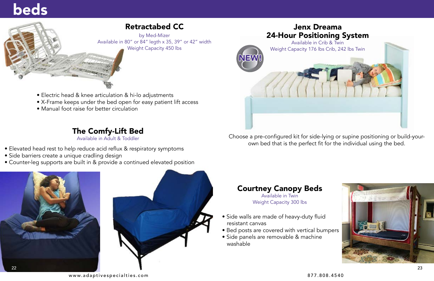[www.adaptivespecialties.com](https://www.adaptivespecialties.com/index.aspx) [877.808.4540](https://www.adaptivespecialties.com/index.aspx)





# beds

#### The Comfy-Lift Bed

Available in Adult & Toddler

- Elevated head rest to help reduce acid reflux & respiratory symptoms
- Side barriers create a unique cradling design
- [Counter-leg supports are built in & provide a continued elevated position](https://www.adaptivespecialties.com/comfy-lift-beds.aspx)

#### Retractabed CC

by Med-Mizer [Available in 80" or 84" legth x 35, 39" or 42" width](https://www.adaptivespecialties.com/med-mizer-retractabed-cc-model-hospital-bed.aspx) Weight Capacity 450 lbs

- Electric head & knee articulation & hi-lo adjustments
- [X-Frame keeps under the bed open for easy patient lift access](https://www.adaptivespecialties.com/med-mizer-retractabed-cc-model-hospital-bed.aspx)
- Manual foot raise for better circulation



[Choose a pre-configured kit for side-lying or supine positioning or build-your](https://www.adaptivespecialties.com/dreama-positioning-and-support-mattress-by-jenx.aspx)own bed that is the perfect fit for the individual using the bed.



### Courtney Canopy Beds

Available in Twin Weight Capacity 300 lbs

- Side walls are made of heavy-duty fluid resistant canvas
- [Bed posts are covered with vertical bumpers](https://www.adaptivespecialties.com/courtney-enclosed-canopy-bed.aspx)
- Side panels are removable & machine washable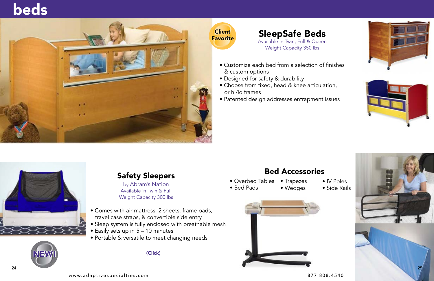



# [beds](https://www.adaptivespecialties.com/sleepsafebeds.aspx)





**Client Favorite** 



#### Safety Sleepers

by Abram's Nation Available in Twin & Full Weight Capacity 300 lbs

- Comes with air mattress, 2 sheets, frame pads, travel case straps, & convertible side entry
- [Sleep system is fully enclosed with breathable mesh](https://www.adaptivespecialties.com/abram-s-nation.aspx)
- Easily sets up in 5 10 minutes
- Portable & versatile to meet changing needs



SleepSafe Beds Available in Twin, Full & Queen Weight Capacity 350 lbs

- [Customize each bed from a selection of finishes](https://www.adaptivespecialties.com/sleepsafebeds.aspx)  & custom options
- Designed for safety & durability
- Choose from fixed, head & knee articulation, or hi/lo frames
- Patented design addresses entrapment issues



#### [Bed Accessories](https://www.adaptivespecialties.com/hospital-and-adaptive-bed-accessories.aspx)

- Overbed Tables • Trapezes
- Bed Pads

• Wedges

- IV Poles
- Side Rails

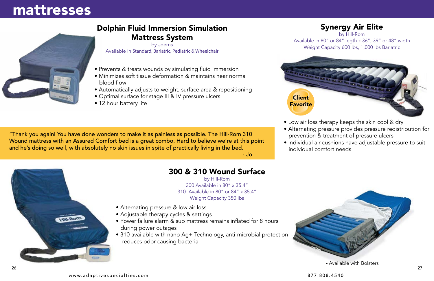

#### [Dolphin Fluid Immersion Simulation](https://www.adaptivespecialties.com/joerns-dolphine-fluid-immersion-simulation-mattress-system.aspx)  Mattress System

- Prevents & treats wounds by simulating fluid immersion
- Minimizes soft tissue deformation & maintains near normal blood flow
- Automatically adjusts to weight, surface area & repositioning
- Optimal surface for stage III & IV pressure ulcers
- 12 hour battery life

by Joerns Available in Standard, Bariatric, Pediatric & Wheelchair

"Thank you again! You have done wonders to make it as painless as possible. The Hill-Rom 310 Wound mattress with an Assured Comfort bed is a great combo. Hard to believe we're at this point and he's doing so well, with absolutely no skin issues in spite of practically living in the bed.  $-$  Jo $-$  Jo $-$  Jo $-$  Jo $-$  Jo $-$  Jo $-$  Jo $-$  Jo $-$  Jo $-$  Jo $-$  Jo $-$  Jo $-$  Jo $-$  Jo $-$  Jo $-$  Jo $-$  Jo $-$  Jo $-$  Jo $-$  Jo $-$  Jo $-$  Jo $-$  Jo $-$  Jo $-$  Jo $-$  Jo $-$  Jo $-$  Jo $-$  Jo $-$  Jo $-$  Jo $-$  Jo $-$  Jo $-$  Jo $-$  Jo $-$  Jo $-$  J

### mattresses

#### 300 & 310 Wound Surface

by Hill-Rom 300 Available in 80" x 35.4" 310 Available in 80" or 84" x 35.4" Weight Capacity 350 lbs

- Alternating pressure & low air loss
- Adjustable therapy cycles & settings
- Power failure alarm & sub mattress remains inflated for 8 hours during power outages
- [310 available with nano Ag+ Technology, anti-microbial protection](https://www.adaptivespecialties.com/hill-rom-300-wound-mattress-w-low-air-loss-and-alternating-pressure.aspx) reduces odor-causing bacteria

• Available with Bolsters

• Low air loss therapy keeps the skin cool & dry [• Alternating pressure provides pressure redistribution for](https://www.adaptivespecialties.com/hill-rom-synergy-air-elite-low-air-loss-therapy-4.aspx)  prevention & treatment of pressure ulcers • Individual air cushions have adjustable pressure to suit individual comfort needs

#### Synergy Air Elite

by Hill-Rom Available in 80" or 84" legth x 36", 39" or 48" width Weight Capacity 600 lbs, 1,000 lbs Bariatric



- 
- 
- 

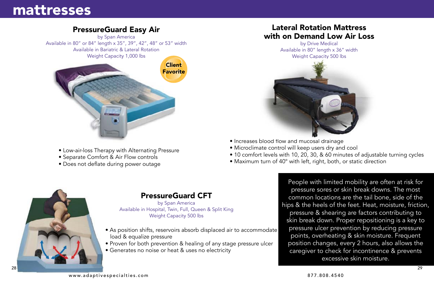

- Low-air-loss Therapy with Alternating Pressure
- Separate Comfort & Air Flow controls
- Does not deflate during power outage

#### PressureGuard Easy Air

by Span America [Available in 80" or 84" length x 35", 39", 42", 48" or 53" width](https://www.adaptivespecialties.com/Span-American-pressureguard-easy-air-mattress-system.aspx) Available in Bariatric & Lateral Rotation Weight Capacity 1,000 lbs

## mattresses

- [As position shifts, reservoirs absorb displaced air to accommodate](https://www.adaptivespecialties.com/Span-America-PressureGuard-CFT-mattress-system.aspx)  load & equalize pressure
- Proven for both prevention & healing of any stage pressure ulcer
- Generates no noise or heat & uses no electricity

#### PressureGuard CFT

by Span America Available in Hospital, Twin, Full, Queen & Split King Weight Capacity 500 lbs



- Increases blood flow and mucosal drainage
- Microclimate control will keep users dry and cool
- 
- Maximum turn of 40° with left, right, both, or static direction

[• 10 comfort levels with 10, 20, 30, & 60 minutes of adjustable turning cycles](https://www.adaptivespecialties.com/10-lateral-rotation-mattress-with-on-demand-low-air-loss-by-drive-medical.aspx)

### Lateral Rotation Mattress with on Demand Low Air Loss

by Drive Medical Available in 80" length x 36" width Weight Capacity 500 lbs



People with limited mobility are often at risk for pressure sores or skin break downs. The most common locations are the tail bone, side of the hips & the heels of the feet. Heat, moisture, friction, pressure & shearing are factors contributing to skin break down. Proper repositioning is a key to pressure ulcer prevention by reducing pressure points, overheating & skin moisture. Frequent position changes, every 2 hours, also allows the caregiver to check for incontinence & prevents excessive skin moisture.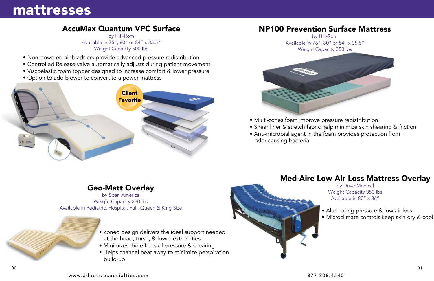#### Geo-Matt Overlay

by Span America Weight Capacity 250 lbs [Available in Pediatric, Hospital, Full, Queen & King Size](https://www.adaptivespecialties.com/geo-matt-therapeutic-overlay-in-hospital-full-queen-and-king.aspx)

- [Z](https://www.adaptivespecialties.com/geo-matt-therapeutic-overlay-in-hospital-full-queen-and-king.aspx)oned design delivers the ideal support needed at the head, torso, & lower extremities
- Minimizes the effects of pressure & shearing
- [Helps channel heat away to minimize perspiration](https://www.adaptivespecialties.com/geo-matt-therapeutic-overlay-in-hospital-full-queen-and-king.aspx)  build-up
- Non-powered air bladders provide advanced pressure redistribution
- [Controlled Release valve automatically adjusts during patient movement](https://www.adaptivespecialties.com/hill-rom-accumax-quantum-vpc-pressure-redistribution-mattress.aspx)
- Viscoelastic foam topper designed to increase comfort & lower pressure
- [Option to add blower to convert to a power](https://www.adaptivespecialties.com/hill-rom-accumax-quantum-vpc-pressure-redistribution-mattress.aspx) mattress

#### AccuMax Quantum VPC Surface

by Hill-Rom Available in 75", 80" or 84" x 35.5" Weight Capacity 500 lbs



### mattresses

- [Multi-zones foam improve pressure redistribution](https://www.adaptivespecialties.com/hill-rom-np100-prevention-surface-2.aspx)
- 
- odor-causing bacteria

[• Shear liner & stretch fabric help minimize skin shearing & friction](https://www.adaptivespecialties.com/hill-rom-np100-prevention-surface-2.aspx) • Anti-microbial agent in the foam provides protection from

#### [NP100 Prevention Surface Mattress](https://www.adaptivespecialties.com/hill-rom-np100-prevention-surface-2.aspx)

by Hill-Rom Available in 76", 80" or 84" x 35.5" Weight Capacity 350 lbs



### [Med-Aire Low Air Loss Mattress Overlay](https://www.adaptivespecialties.com/hill-rom-np100-prevention-surface-2.aspx)



by Drive Medical Weight Capacity 350 lbs Available in 80" x 36"

- Alternating pressure & low air loss
- [Microclimate controls keep skin dry & cool](https://www.adaptivespecialties.com/hill-rom-np100-prevention-surface-2.aspx)